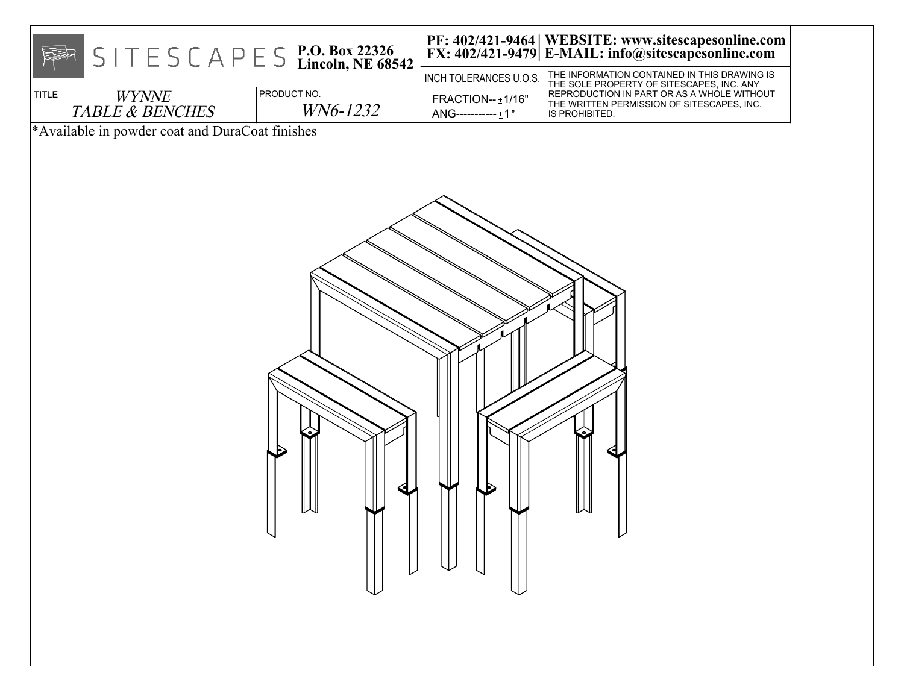| $S \mid T \in S \subset A \cap E \subseteq S$ P.O. Box 22326<br>EF                                                            |                         | INCH TOLERANCES U.O.S.                 | PF: 402/421-9464   WEBSITE: www.sitescapesonline.com<br>FX: 402/421-9479   E-MAIL: info@sitescapesonline.com<br>THE INFORMATION CONTAINED IN THIS DRAWING IS |
|-------------------------------------------------------------------------------------------------------------------------------|-------------------------|----------------------------------------|--------------------------------------------------------------------------------------------------------------------------------------------------------------|
| <b>TITLE</b><br><b>WYNNE</b><br><b>TABLE &amp; BENCHES</b>                                                                    | PRODUCT NO.<br>WN6-1232 | FRACTION-- ±1/16"<br>ANG-----------±1° | THE SOLE PROPERTY OF SITESCAPES, INC. ANY<br>REPRODUCTION IN PART OR AS A WHOLE WITHOUT<br>THE WRITTEN PERMISSION OF SITESCAPES, INC.<br>IS PROHIBITED.      |
| $\begin{array}{c} \begin{array}{c} \begin{array}{c} \end{array} \\ \begin{array}{c} \end{array} \end{array} \end{array}$<br>レ |                         |                                        |                                                                                                                                                              |